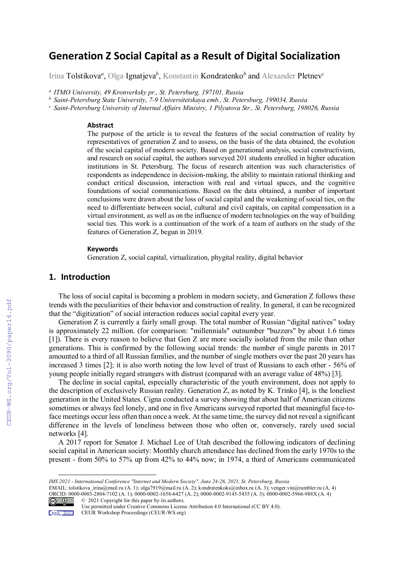# **Generation Z Social Capital as a Result of Digital Socialization**

Irina Tolstikova*<sup>a</sup>* , Olga Ignatjeva*<sup>b</sup>* , Konstantin Kondratenko*<sup>b</sup>* and Alexander Pletnev*<sup>c</sup>*

*a ITMO University, 49 Kronverksky pr., St. Petersburg, 197101, Russia* 

*<sup>b</sup> Saint-Petersburg State University, 7-9 Universitetskaya emb., St. Petersburg, 199034, Russia* 

*<sup>c</sup> Saint-Petersburg University of Internal Affairs Ministry, 1 Pilyutova Str., St. Petersburg, 198026, Russia* 

#### **Abstract**

The purpose of the article is to reveal the features of the social construction of reality by representatives of generation Z and to assess, on the basis of the data obtained, the evolution of the social capital of modern society. Based on generational analysis, social constructivism, and research on social capital, the authors surveyed 201 students enrolled in higher education institutions in St. Petersburg. The focus of research attention was such characteristics of respondents as independence in decision-making, the ability to maintain rational thinking and conduct critical discussion, interaction with real and virtual spaces, and the cognitive foundations of social communications. Based on the data obtained, a number of important conclusions were drawn about the loss of social capital and the weakening of social ties, on the need to differentiate between social, cultural and civil capitals, on capital compensation in a virtual environment, as well as on the influence of modern technologies on the way of building social ties. This work is a continuation of the work of a team of authors on the study of the features of Generation Z, begun in 2019.

#### **Keywords**

Generation Z, social capital, virtualization, phygital reality, digital behavior

## **1. Introduction**

The loss of social capital is becoming a problem in modern society, and Generation Z follows these trends with the peculiarities of their behavior and construction of reality. In general, it can be recognized that the "digitization" of social interaction reduces social capital every year.

Generation Z is currently a fairly small group. The total number of Russian "digital natives" today is approximately 22 million. (for comparison: "millennials" outnumber "buzzers" by about 1.6 times [1]). There is every reason to believe that Gen Z are more socially isolated from the mile than other generations. This is confirmed by the following social trends: the number of single parents in 2017 amounted to a third of all Russian families, and the number of single mothers over the past 20 years has increased 3 times [2]; it is also worth noting the low level of trust of Russians to each other - 56% of young people initially regard strangers with distrust (compared with an average value of 48%) [3].

The decline in social capital, especially characteristic of the youth environment, does not apply to the description of exclusively Russian reality. Generation Z, as noted by K. Trinko [4], is the loneliest generation in the United States. Cigna conducted a survey showing that about half of American citizens sometimes or always feel lonely, and one in five Americans surveyed reported that meaningful face-toface meetings occur less often than once a week. At the same time, the survey did not reveal a significant difference in the levels of loneliness between those who often or, conversely, rarely used social networks [4].

A 2017 report for Senator J. Michael Lee of Utah described the following indicators of declining social capital in American society: Monthly church attendance has declined from the early 1970s to the present - from 50% to 57% up from 42% to 44% now; in 1974, a third of Americans communicated

EMAIL: tolstikova\_irina@mail.ru (A. 1); olga7919@mail.ru (A. 2); kondratenkoks@inbox.ru (A. 3); venger.vin@rambler.ru (A. 4) ORCID: 0000-0003-2804-7102 (A. 1); 0000-0002-1658-6427 (A. 2); 0000-0002-9145-5435 (A. 3); 0000-0002-5966-988X (A. 4) © 2021 Copyright for this paper by its authors.  $\boxed{6}$ 



Use permitted under Creative Commons License Attribution 4.0 International (CC BY 4.0).

*IMS 2021 - International Conference "Internet and Modern Society", June 24-26, 2021, St. Petersburg, Russia*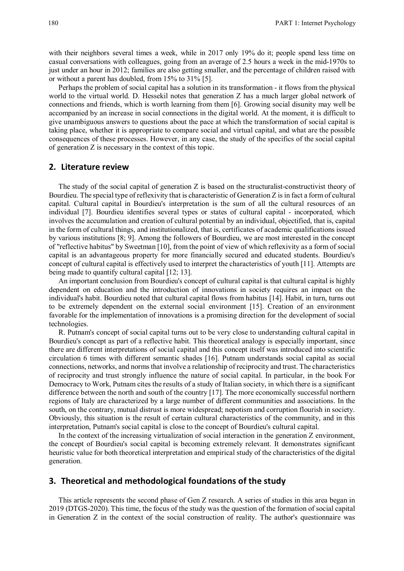with their neighbors several times a week, while in 2017 only 19% do it; people spend less time on casual conversations with colleagues, going from an average of 2.5 hours a week in the mid-1970s to just under an hour in 2012; families are also getting smaller, and the percentage of children raised with or without a parent has doubled, from 15% to 31% [5].

Perhaps the problem of social capital has a solution in its transformation - it flows from the physical world to the virtual world. D. Hessekil notes that generation Z has a much larger global network of connections and friends, which is worth learning from them [6]. Growing social disunity may well be accompanied by an increase in social connections in the digital world. At the moment, it is difficult to give unambiguous answers to questions about the pace at which the transformation of social capital is taking place, whether it is appropriate to compare social and virtual capital, and what are the possible consequences of these processes. However, in any case, the study of the specifics of the social capital of generation Z is necessary in the context of this topic.

#### **2. Literature review**

The study of the social capital of generation Z is based on the structuralist-constructivist theory of Bourdieu. The special type of reflexivity that is characteristic of Generation Z is in fact a form of cultural capital. Cultural capital in Bourdieu's interpretation is the sum of all the cultural resources of an individual [7]. Bourdieu identifies several types or states of cultural capital - incorporated, which involves the accumulation and creation of cultural potential by an individual, objectified, that is, capital in the form of cultural things, and institutionalized, that is, certificates of academic qualifications issued by various institutions [8; 9]. Among the followers of Bourdieu, we are most interested in the concept of "reflective habitus" by Sweetman [10], from the point of view of which reflexivity as a form of social capital is an advantageous property for more financially secured and educated students. Bourdieu's concept of cultural capital is effectively used to interpret the characteristics of youth [11]. Attempts are being made to quantify cultural capital [12; 13].

An important conclusion from Bourdieu's concept of cultural capital is that cultural capital is highly dependent on education and the introduction of innovations in society requires an impact on the individual's habit. Bourdieu noted that cultural capital flows from habitus [14]. Habit, in turn, turns out to be extremely dependent on the external social environment [15]. Creation of an environment favorable for the implementation of innovations is a promising direction for the development of social technologies.

R. Putnam's concept of social capital turns out to be very close to understanding cultural capital in Bourdieu's concept as part of a reflective habit. This theoretical analogy is especially important, since there are different interpretations of social capital and this concept itself was introduced into scientific circulation 6 times with different semantic shades [16]. Putnam understands social capital as social connections, networks, and norms that involve a relationship of reciprocity and trust. The characteristics of reciprocity and trust strongly influence the nature of social capital. In particular, in the book For Democracy to Work, Putnam cites the results of a study of Italian society, in which there is a significant difference between the north and south of the country [17]. The more economically successful northern regions of Italy are characterized by a large number of different communities and associations. In the south, on the contrary, mutual distrust is more widespread; nepotism and corruption flourish in society. Obviously, this situation is the result of certain cultural characteristics of the community, and in this interpretation, Putnam's social capital is close to the concept of Bourdieu's cultural capital.

In the context of the increasing virtualization of social interaction in the generation Z environment, the concept of Bourdieu's social capital is becoming extremely relevant. It demonstrates significant heuristic value for both theoretical interpretation and empirical study of the characteristics of the digital generation.

### **3. Theoretical and methodological foundations of the study**

This article represents the second phase of Gen Z research. A series of studies in this area began in 2019 (DTGS-2020). This time, the focus of the study was the question of the formation of social capital in Generation Z in the context of the social construction of reality. The author's questionnaire was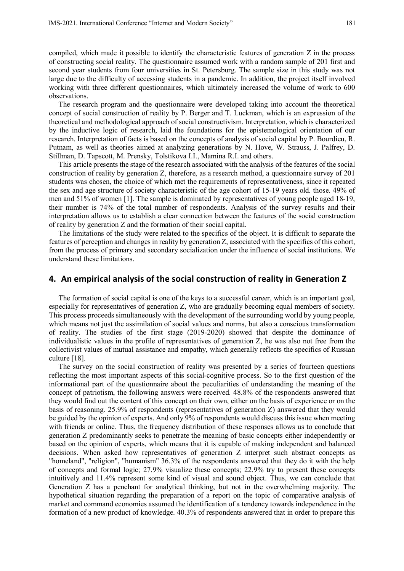compiled, which made it possible to identify the characteristic features of generation Z in the process of constructing social reality. The questionnaire assumed work with a random sample of 201 first and second year students from four universities in St. Petersburg. The sample size in this study was not large due to the difficulty of accessing students in a pandemic. In addition, the project itself involved working with three different questionnaires, which ultimately increased the volume of work to 600 observations.

The research program and the questionnaire were developed taking into account the theoretical concept of social construction of reality by P. Berger and T. Luckman, which is an expression of the theoretical and methodological approach of social constructivism. Interpretation, which is characterized by the inductive logic of research, laid the foundations for the epistemological orientation of our research. Interpretation of facts is based on the concepts of analysis of social capital by P. Bourdieu, R. Putnam, as well as theories aimed at analyzing generations by N. Hove, W. Strauss, J. Palfrey, D. Stillman, D. Tapscott, M. Prensky, Tolstikova I.I., Mamina R.I. and others.

This article presents the stage of the research associated with the analysis of the features of the social construction of reality by generation Z, therefore, as a research method, a questionnaire survey of 201 students was chosen, the choice of which met the requirements of representativeness, since it repeated the sex and age structure of society characteristic of the age cohort of 15-19 years old. those. 49% of men and 51% of women [1]. The sample is dominated by representatives of young people aged 18-19, their number is 74% of the total number of respondents. Analysis of the survey results and their interpretation allows us to establish a clear connection between the features of the social construction of reality by generation Z and the formation of their social capital.

The limitations of the study were related to the specifics of the object. It is difficult to separate the features of perception and changes in reality by generation Z, associated with the specifics of this cohort, from the process of primary and secondary socialization under the influence of social institutions. We understand these limitations.

### **4. An empirical analysis of the social construction of reality in Generation Z**

The formation of social capital is one of the keys to a successful career, which is an important goal, especially for representatives of generation Z, who are gradually becoming equal members of society. This process proceeds simultaneously with the development of the surrounding world by young people, which means not just the assimilation of social values and norms, but also a conscious transformation of reality. The studies of the first stage (2019-2020) showed that despite the dominance of individualistic values in the profile of representatives of generation Z, he was also not free from the collectivist values of mutual assistance and empathy, which generally reflects the specifics of Russian culture [18].

The survey on the social construction of reality was presented by a series of fourteen questions reflecting the most important aspects of this social-cognitive process. So to the first question of the informational part of the questionnaire about the peculiarities of understanding the meaning of the concept of patriotism, the following answers were received. 48.8% of the respondents answered that they would find out the content of this concept on their own, either on the basis of experience or on the basis of reasoning. 25.9% of respondents (representatives of generation Z) answered that they would be guided by the opinion of experts. And only 9% of respondents would discuss this issue when meeting with friends or online. Thus, the frequency distribution of these responses allows us to conclude that generation Z predominantly seeks to penetrate the meaning of basic concepts either independently or based on the opinion of experts, which means that it is capable of making independent and balanced decisions. When asked how representatives of generation Z interpret such abstract concepts as "homeland", "religion", "humanism" 36.3% of the respondents answered that they do it with the help of concepts and formal logic; 27.9% visualize these concepts; 22.9% try to present these concepts intuitively and 11.4% represent some kind of visual and sound object. Thus, we can conclude that Generation Z has a penchant for analytical thinking, but not in the overwhelming majority. The hypothetical situation regarding the preparation of a report on the topic of comparative analysis of market and command economies assumed the identification of a tendency towards independence in the formation of a new product of knowledge. 40.3% of respondents answered that in order to prepare this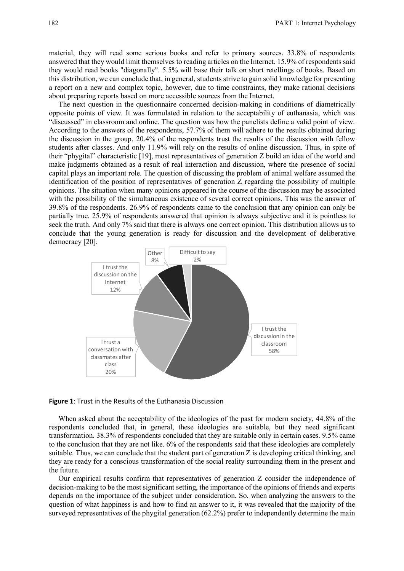material, they will read some serious books and refer to primary sources. 33.8% of respondents answered that they would limit themselves to reading articles on the Internet. 15.9% of respondents said they would read books "diagonally". 5.5% will base their talk on short retellings of books. Based on this distribution, we can conclude that, in general, students strive to gain solid knowledge for presenting a report on a new and complex topic, however, due to time constraints, they make rational decisions about preparing reports based on more accessible sources from the Internet.

The next question in the questionnaire concerned decision-making in conditions of diametrically opposite points of view. It was formulated in relation to the acceptability of euthanasia, which was "discussed" in classroom and online. The question was how the panelists define a valid point of view. According to the answers of the respondents, 57.7% of them will adhere to the results obtained during the discussion in the group, 20.4% of the respondents trust the results of the discussion with fellow students after classes. And only 11.9% will rely on the results of online discussion. Thus, in spite of their "phygital" characteristic [19], most representatives of generation Z build an idea of the world and make judgments obtained as a result of real interaction and discussion, where the presence of social capital plays an important role. The question of discussing the problem of animal welfare assumed the identification of the position of representatives of generation Z regarding the possibility of multiple opinions. The situation when many opinions appeared in the course of the discussion may be associated with the possibility of the simultaneous existence of several correct opinions. This was the answer of 39.8% of the respondents. 26.9% of respondents came to the conclusion that any opinion can only be partially true. 25.9% of respondents answered that opinion is always subjective and it is pointless to seek the truth. And only 7% said that there is always one correct opinion. This distribution allows us to conclude that the young generation is ready for discussion and the development of deliberative democracy [20].



#### **Figure 1**: Trust in the Results of the Euthanasia Discussion

When asked about the acceptability of the ideologies of the past for modern society, 44.8% of the respondents concluded that, in general, these ideologies are suitable, but they need significant transformation. 38.3% of respondents concluded that they are suitable only in certain cases. 9.5% came to the conclusion that they are not like. 6% of the respondents said that these ideologies are completely suitable. Thus, we can conclude that the student part of generation Z is developing critical thinking, and they are ready for a conscious transformation of the social reality surrounding them in the present and the future.

Our empirical results confirm that representatives of generation Z consider the independence of decision-making to be the most significant setting, the importance of the opinions of friends and experts depends on the importance of the subject under consideration. So, when analyzing the answers to the question of what happiness is and how to find an answer to it, it was revealed that the majority of the surveyed representatives of the phygital generation (62.2%) prefer to independently determine the main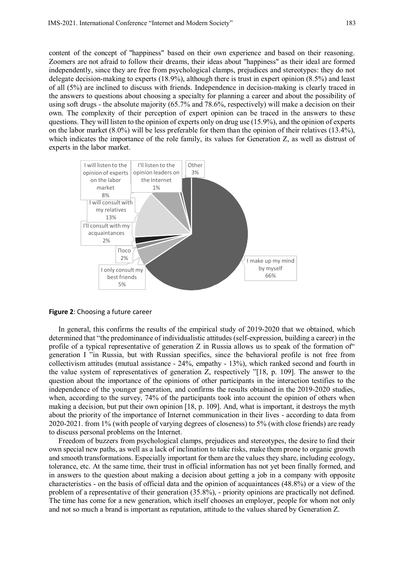content of the concept of "happiness" based on their own experience and based on their reasoning. Zoomers are not afraid to follow their dreams, their ideas about "happiness" as their ideal are formed independently, since they are free from psychological clamps, prejudices and stereotypes: they do not delegate decision-making to experts (18.9%), although there is trust in expert opinion (8.5%) and least of all (5%) are inclined to discuss with friends. Independence in decision-making is clearly traced in the answers to questions about choosing a specialty for planning a career and about the possibility of using soft drugs - the absolute majority (65.7% and 78.6%, respectively) will make a decision on their own. The complexity of their perception of expert opinion can be traced in the answers to these questions. They will listen to the opinion of experts only on drug use (15.9%), and the opinion of experts on the labor market (8.0%) will be less preferable for them than the opinion of their relatives (13.4%), which indicates the importance of the role family, its values for Generation Z, as well as distrust of experts in the labor market.



**Figure 2**: Choosing a future career

In general, this confirms the results of the empirical study of 2019-2020 that we obtained, which determined that "the predominance of individualistic attitudes (self-expression, building a career) in the profile of a typical representative of generation Z in Russia allows us to speak of the formation of" generation I "in Russia, but with Russian specifics, since the behavioral profile is not free from collectivism attitudes (mutual assistance - 24%, empathy - 13%), which ranked second and fourth in the value system of representatives of generation Z, respectively "[18, p. 109]. The answer to the question about the importance of the opinions of other participants in the interaction testifies to the independence of the younger generation, and confirms the results obtained in the 2019-2020 studies, when, according to the survey, 74% of the participants took into account the opinion of others when making a decision, but put their own opinion [18, p. 109]. And, what is important, it destroys the myth about the priority of the importance of Internet communication in their lives - according to data from 2020-2021. from 1% (with people of varying degrees of closeness) to 5% (with close friends) are ready to discuss personal problems on the Internet.

Freedom of buzzers from psychological clamps, prejudices and stereotypes, the desire to find their own special new paths, as well as a lack of inclination to take risks, make them prone to organic growth and smooth transformations. Especially important for them are the values they share, including ecology, tolerance, etc. At the same time, their trust in official information has not yet been finally formed, and in answers to the question about making a decision about getting a job in a company with opposite characteristics - on the basis of official data and the opinion of acquaintances (48.8%) or a view of the problem of a representative of their generation (35.8%), - priority opinions are practically not defined. The time has come for a new generation, which itself chooses an employer, people for whom not only and not so much a brand is important as reputation, attitude to the values shared by Generation Z.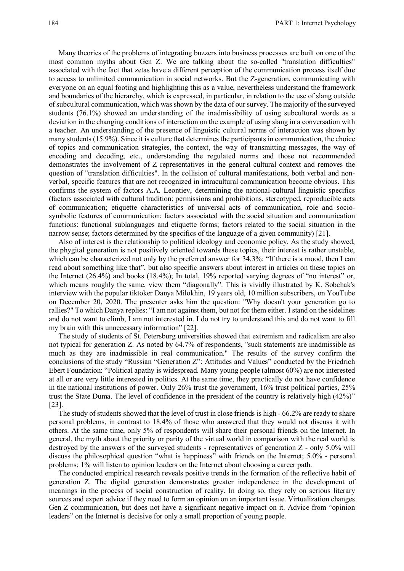Many theories of the problems of integrating buzzers into business processes are built on one of the most common myths about Gen Z. We are talking about the so-called "translation difficulties" associated with the fact that zetas have a different perception of the communication process itself due to access to unlimited communication in social networks. But the Z-generation, communicating with everyone on an equal footing and highlighting this as a value, nevertheless understand the framework and boundaries of the hierarchy, which is expressed, in particular, in relation to the use of slang outside of subcultural communication, which was shown by the data of our survey. The majority of the surveyed students (76.1%) showed an understanding of the inadmissibility of using subcultural words as a deviation in the changing conditions of interaction on the example of using slang in a conversation with a teacher. An understanding of the presence of linguistic cultural norms of interaction was shown by many students (15.9%). Since it is culture that determines the participants in communication, the choice of topics and communication strategies, the context, the way of transmitting messages, the way of encoding and decoding, etc., understanding the regulated norms and those not recommended demonstrates the involvement of Z representatives in the general cultural context and removes the question of "translation difficulties". In the collision of cultural manifestations, both verbal and nonverbal, specific features that are not recognized in intracultural communication become obvious. This confirms the system of factors A.A. Leontiev, determining the national-cultural linguistic specifics (factors associated with cultural tradition: permissions and prohibitions, stereotyped, reproducible acts of communication; etiquette characteristics of universal acts of communication, role and sociosymbolic features of communication; factors associated with the social situation and communication functions: functional sublanguages and etiquette forms; factors related to the social situation in the narrow sense; factors determined by the specifics of the language of a given community) [21].

Also of interest is the relationship to political ideology and economic policy. As the study showed, the phygital generation is not positively oriented towards these topics, their interest is rather unstable, which can be characterized not only by the preferred answer for 34.3%: "If there is a mood, then I can read about something like that", but also specific answers about interest in articles on these topics on the Internet (26.4%) and books (18.4%); In total, 19% reported varying degrees of "no interest" or, which means roughly the same, view them "diagonally". This is vividly illustrated by K. Sobchak's interview with the popular tiktoker Danya Milokhin, 19 years old, 10 million subscribers, on YouTube on December 20, 2020. The presenter asks him the question: "Why doesn't your generation go to rallies?" To which Danya replies: "I am not against them, but not for them either. I stand on the sidelines and do not want to climb, I am not interested in. I do not try to understand this and do not want to fill my brain with this unnecessary information" [22].

The study of students of St. Petersburg universities showed that extremism and radicalism are also not typical for generation Z. As noted by 64.7% of respondents, "such statements are inadmissible as much as they are inadmissible in real communication." The results of the survey confirm the conclusions of the study "Russian "Generation Z": Attitudes and Values" conducted by the Friedrich Ebert Foundation: "Political apathy is widespread. Many young people (almost 60%) are not interested at all or are very little interested in politics. At the same time, they practically do not have confidence in the national institutions of power. Only 26% trust the government, 16% trust political parties, 25% trust the State Duma. The level of confidence in the president of the country is relatively high (42%)" [23].

The study of students showed that the level of trust in close friends is high - 66.2% are ready to share personal problems, in contrast to 18.4% of those who answered that they would not discuss it with others. At the same time, only 5% of respondents will share their personal friends on the Internet. In general, the myth about the priority or parity of the virtual world in comparison with the real world is destroyed by the answers of the surveyed students - representatives of generation Z - only 5.0% will discuss the philosophical question "what is happiness" with friends on the Internet; 5.0% - personal problems; 1% will listen to opinion leaders on the Internet about choosing a career path.

The conducted empirical research reveals positive trends in the formation of the reflective habit of generation Z. The digital generation demonstrates greater independence in the development of meanings in the process of social construction of reality. In doing so, they rely on serious literary sources and expert advice if they need to form an opinion on an important issue. Virtualization changes Gen Z communication, but does not have a significant negative impact on it. Advice from "opinion leaders" on the Internet is decisive for only a small proportion of young people.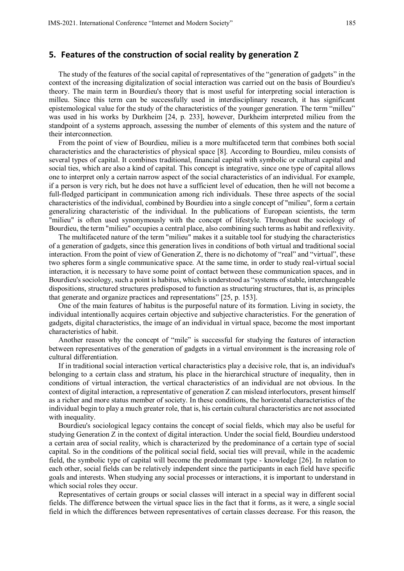#### **5. Features of the construction of social reality by generation Z**

The study of the features of the social capital of representatives of the "generation of gadgets" in the context of the increasing digitalization of social interaction was carried out on the basis of Bourdieu's theory. The main term in Bourdieu's theory that is most useful for interpreting social interaction is milleu. Since this term can be successfully used in interdisciplinary research, it has significant epistemological value for the study of the characteristics of the younger generation. The term "milleu" was used in his works by Durkheim [24, p. 233], however, Durkheim interpreted milieu from the standpoint of a systems approach, assessing the number of elements of this system and the nature of their interconnection.

From the point of view of Bourdieu, milieu is a more multifaceted term that combines both social characteristics and the characteristics of physical space [8]. According to Bourdieu, mileu consists of several types of capital. It combines traditional, financial capital with symbolic or cultural capital and social ties, which are also a kind of capital. This concept is integrative, since one type of capital allows one to interpret only a certain narrow aspect of the social characteristics of an individual. For example, if a person is very rich, but he does not have a sufficient level of education, then he will not become a full-fledged participant in communication among rich individuals. These three aspects of the social characteristics of the individual, combined by Bourdieu into a single concept of "milieu", form a certain generalizing characteristic of the individual. In the publications of European scientists, the term "milieu" is often used synonymously with the concept of lifestyle. Throughout the sociology of Bourdieu, the term "milieu" occupies a central place, also combining such terms as habit and reflexivity.

The multifaceted nature of the term "milieu" makes it a suitable tool for studying the characteristics of a generation of gadgets, since this generation lives in conditions of both virtual and traditional social interaction. From the point of view of Generation Z, there is no dichotomy of "real" and "virtual", these two spheres form a single communicative space. At the same time, in order to study real-virtual social interaction, it is necessary to have some point of contact between these communication spaces, and in Bourdieu's sociology, such a point is habitus, which is understood as "systems of stable, interchangeable dispositions, structured structures predisposed to function as structuring structures, that is, as principles that generate and organize practices and representations" [25, p. 153].

One of the main features of habitus is the purposeful nature of its formation. Living in society, the individual intentionally acquires certain objective and subjective characteristics. For the generation of gadgets, digital characteristics, the image of an individual in virtual space, become the most important characteristics of habit.

Another reason why the concept of "mile" is successful for studying the features of interaction between representatives of the generation of gadgets in a virtual environment is the increasing role of cultural differentiation.

If in traditional social interaction vertical characteristics play a decisive role, that is, an individual's belonging to a certain class and stratum, his place in the hierarchical structure of inequality, then in conditions of virtual interaction, the vertical characteristics of an individual are not obvious. In the context of digital interaction, a representative of generation Z can mislead interlocutors, present himself as a richer and more status member of society. In these conditions, the horizontal characteristics of the individual begin to play a much greater role, that is, his certain cultural characteristics are not associated with inequality.

Bourdieu's sociological legacy contains the concept of social fields, which may also be useful for studying Generation Z in the context of digital interaction. Under the social field, Bourdieu understood a certain area of social reality, which is characterized by the predominance of a certain type of social capital. So in the conditions of the political social field, social ties will prevail, while in the academic field, the symbolic type of capital will become the predominant type - knowledge [26]. In relation to each other, social fields can be relatively independent since the participants in each field have specific goals and interests. When studying any social processes or interactions, it is important to understand in which social roles they occur.

Representatives of certain groups or social classes will interact in a special way in different social fields. The difference between the virtual space lies in the fact that it forms, as it were, a single social field in which the differences between representatives of certain classes decrease. For this reason, the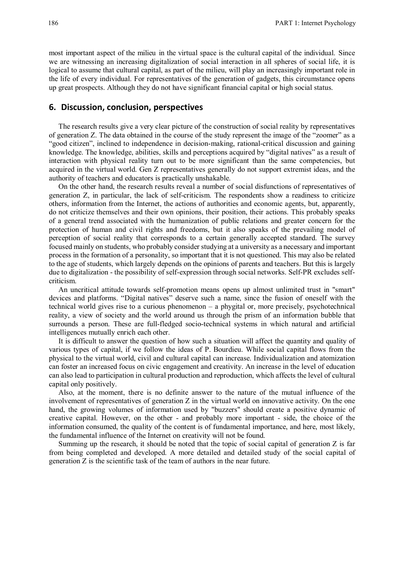most important aspect of the milieu in the virtual space is the cultural capital of the individual. Since we are witnessing an increasing digitalization of social interaction in all spheres of social life, it is logical to assume that cultural capital, as part of the milieu, will play an increasingly important role in the life of every individual. For representatives of the generation of gadgets, this circumstance opens up great prospects. Although they do not have significant financial capital or high social status.

### **6. Discussion, conclusion, perspectives**

The research results give a very clear picture of the construction of social reality by representatives of generation Z. The data obtained in the course of the study represent the image of the "zoomer" as a "good citizen", inclined to independence in decision-making, rational-critical discussion and gaining knowledge. The knowledge, abilities, skills and perceptions acquired by "digital natives" as a result of interaction with physical reality turn out to be more significant than the same competencies, but acquired in the virtual world. Gen Z representatives generally do not support extremist ideas, and the authority of teachers and educators is practically unshakable.

On the other hand, the research results reveal a number of social disfunctions of representatives of generation Z, in particular, the lack of self-criticism. The respondents show a readiness to criticize others, information from the Internet, the actions of authorities and economic agents, but, apparently, do not criticize themselves and their own opinions, their position, their actions. This probably speaks of a general trend associated with the humanization of public relations and greater concern for the protection of human and civil rights and freedoms, but it also speaks of the prevailing model of perception of social reality that corresponds to a certain generally accepted standard. The survey focused mainly on students, who probably consider studying at a university as a necessary and important process in the formation of a personality, so important that it is not questioned. This may also be related to the age of students, which largely depends on the opinions of parents and teachers. But this is largely due to digitalization - the possibility of self-expression through social networks. Self-PR excludes selfcriticism.

An uncritical attitude towards self-promotion means opens up almost unlimited trust in "smart" devices and platforms. "Digital natives" deserve such a name, since the fusion of oneself with the technical world gives rise to a curious phenomenon – a phygital or, more precisely, psychotechnical reality, a view of society and the world around us through the prism of an information bubble that surrounds a person. These are full-fledged socio-technical systems in which natural and artificial intelligences mutually enrich each other.

It is difficult to answer the question of how such a situation will affect the quantity and quality of various types of capital, if we follow the ideas of P. Bourdieu. While social capital flows from the physical to the virtual world, civil and cultural capital can increase. Individualization and atomization can foster an increased focus on civic engagement and creativity. An increase in the level of education can also lead to participation in cultural production and reproduction, which affects the level of cultural capital only positively.

Also, at the moment, there is no definite answer to the nature of the mutual influence of the involvement of representatives of generation Z in the virtual world on innovative activity. On the one hand, the growing volumes of information used by "buzzers" should create a positive dynamic of creative capital. However, on the other - and probably more important - side, the choice of the information consumed, the quality of the content is of fundamental importance, and here, most likely, the fundamental influence of the Internet on creativity will not be found.

Summing up the research, it should be noted that the topic of social capital of generation Z is far from being completed and developed. A more detailed and detailed study of the social capital of generation Z is the scientific task of the team of authors in the near future.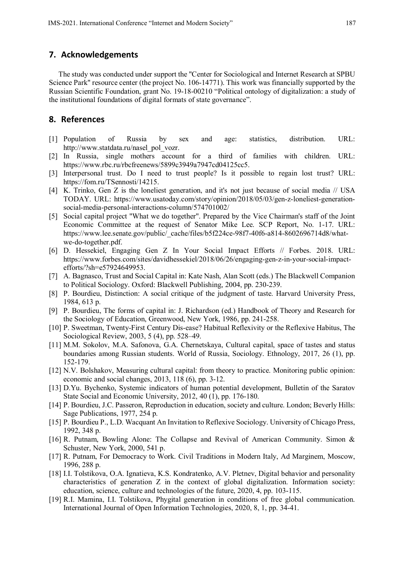# **7. Acknowledgements**

The study was conducted under support the "Center for Sociological and Internet Research at SPBU Science Park" resource center (the project No. 106-14771). This work was financially supported by the Russian Scientific Foundation, grant No. 19-18-00210 "Political ontology of digitalization: a study of the institutional foundations of digital formats of state governance".

### **8. References**

- [1] Population of Russia by sex and age: statistics, distribution. URL: http://www.statdata.ru/nasel\_pol\_vozr.
- [2] In Russia, single mothers account for a third of families with children. URL: https://www.rbc.ru/rbcfreenews/5899c3949a7947cd04125cc5.
- [3] Interpersonal trust. Do I need to trust people? Is it possible to regain lost trust? URL: https://fom.ru/TSennosti/14215.
- [4] K. Trinko, Gen Z is the loneliest generation, and it's not just because of social media // USA TODAY. URL: https://www.usatoday.com/story/opinion/2018/05/03/gen-z-loneliest-generationsocial-media-personal-interactions-column/574701002/
- [5] Social capital project "What we do together". Prepared by the Vice Chairman's staff of the Joint Economic Committee at the request of Senator Mike Lee. SCP Report, No. 1-17. URL: https://www.lee.senate.gov/public/\_cache/files/b5f224ce-98f7-40f6-a814-8602696714d8/whatwe-do-together.pdf.
- [6] D. Hessekiel, Engaging Gen Z In Your Social Impact Efforts // Forbes. 2018. URL: https://www.forbes.com/sites/davidhessekiel/2018/06/26/engaging-gen-z-in-your-social-impactefforts/?sh=e57924649953.
- [7] A. Bagnasco, Trust and Social Capital in: Kate Nash, Alan Scott (eds.) The Blackwell Companion to Political Sociology. Oxford: Blackwell Publishing, 2004, pp. 230-239.
- [8] P. Bourdieu, Distinction: A social critique of the judgment of taste. Harvard University Press, 1984, 613 p.
- [9] P. Bourdieu, The forms of capital in: J. Richardson (ed.) Handbook of Theory and Research for the Sociology of Education, Greenwood, New York, 1986, pp. 241-258.
- [10] P. Sweetman, Twenty-First Century Dis-ease? Habitual Reflexivity or the Reflexive Habitus, The Sociological Review, 2003, 5 (4), pp. 528–49.
- [11] M.M. Sokolov, M.A. Safonova, G.A. Chernetskaya, Cultural capital, space of tastes and status boundaries among Russian students. World of Russia, Sociology. Ethnology, 2017, 26 (1), pp. 152-179.
- [12] N.V. Bolshakov, Measuring cultural capital: from theory to practice. Monitoring public opinion: economic and social changes, 2013, 118 (6), pp. 3-12.
- [13] D.Yu. Bychenko, Systemic indicators of human potential development, Bulletin of the Saratov State Social and Economic University, 2012, 40 (1), pp. 176-180.
- [14] P. Bourdieu, J.C. Passeron, Reproduction in education, society and culture. London; Beverly Hills: Sage Publications, 1977, 254 p.
- [15] P. Bourdieu P., L.D. Wacquant An Invitation to Reflexive Sociology. University of Chicago Press, 1992, 348 p.
- [16] R. Putnam, Bowling Alone: The Collapse and Revival of American Community. Simon & Schuster, New York, 2000, 541 p.
- [17] R. Putnam, For Democracy to Work. Civil Traditions in Modern Italy, Ad Marginem, Moscow, 1996, 288 p.
- [18] I.I. Tolstikova, O.A. Ignatieva, K.S. Kondratenko, A.V. Pletnev, Digital behavior and personality characteristics of generation Z in the context of global digitalization. Information society: education, science, culture and technologies of the future, 2020, 4, pp. 103-115.
- [19] R.I. Mamina, I.I. Tolstikova, Phygital generation in conditions of free global communication. International Journal of Open Information Technologies, 2020, 8, 1, pp. 34-41.